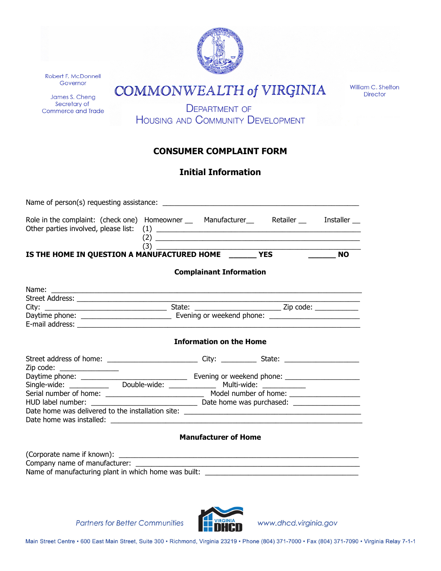| Robert F. McDonnell<br>Governor<br>James S. Cheng<br>Secretary of<br><b>Commerce and Trade</b> | William C. Shelton<br><b>COMMONWEALTH of VIRGINIA</b> |                                |                                                                                                                                                                                                                                                                                                                                                                                                                                                                                   |                 |  |
|------------------------------------------------------------------------------------------------|-------------------------------------------------------|--------------------------------|-----------------------------------------------------------------------------------------------------------------------------------------------------------------------------------------------------------------------------------------------------------------------------------------------------------------------------------------------------------------------------------------------------------------------------------------------------------------------------------|-----------------|--|
|                                                                                                |                                                       |                                |                                                                                                                                                                                                                                                                                                                                                                                                                                                                                   | <b>Director</b> |  |
|                                                                                                |                                                       | <b>DEPARTMENT OF</b>           | <b>HOUSING AND COMMUNITY DEVELOPMENT</b>                                                                                                                                                                                                                                                                                                                                                                                                                                          |                 |  |
|                                                                                                |                                                       | <b>CONSUMER COMPLAINT FORM</b> |                                                                                                                                                                                                                                                                                                                                                                                                                                                                                   |                 |  |
|                                                                                                |                                                       | <b>Initial Information</b>     |                                                                                                                                                                                                                                                                                                                                                                                                                                                                                   |                 |  |
|                                                                                                |                                                       |                                |                                                                                                                                                                                                                                                                                                                                                                                                                                                                                   |                 |  |
|                                                                                                |                                                       | <b>Complainant Information</b> | $(2) \begin{tabular}{@{}c@{}} \hline \multicolumn{3}{c}{} & \multicolumn{3}{c}{} & \multicolumn{3}{c}{} & \multicolumn{3}{c}{} & \multicolumn{3}{c}{} \\ \multicolumn{3}{c}{} & \multicolumn{3}{c}{} & \multicolumn{3}{c}{} & \multicolumn{3}{c}{} & \multicolumn{3}{c}{} & \multicolumn{3}{c}{} & \multicolumn{3}{c}{} & \multicolumn{3}{c}{} & \multicolumn{3}{c}{} & \multicolumn{3}{c}{} & \multicolumn{3}{c}{} & \multicolumn{3}{c}{} & \multicolumn{3}{c}{} & \multicolumn$ | <b>NO</b>       |  |
|                                                                                                |                                                       |                                |                                                                                                                                                                                                                                                                                                                                                                                                                                                                                   |                 |  |
|                                                                                                |                                                       |                                |                                                                                                                                                                                                                                                                                                                                                                                                                                                                                   |                 |  |
|                                                                                                |                                                       |                                |                                                                                                                                                                                                                                                                                                                                                                                                                                                                                   |                 |  |
|                                                                                                |                                                       | <b>Information on the Home</b> |                                                                                                                                                                                                                                                                                                                                                                                                                                                                                   |                 |  |
|                                                                                                |                                                       |                                |                                                                                                                                                                                                                                                                                                                                                                                                                                                                                   |                 |  |
| Zip code: _________________                                                                    |                                                       |                                |                                                                                                                                                                                                                                                                                                                                                                                                                                                                                   |                 |  |
|                                                                                                |                                                       |                                |                                                                                                                                                                                                                                                                                                                                                                                                                                                                                   |                 |  |
|                                                                                                |                                                       |                                |                                                                                                                                                                                                                                                                                                                                                                                                                                                                                   |                 |  |
|                                                                                                |                                                       |                                |                                                                                                                                                                                                                                                                                                                                                                                                                                                                                   |                 |  |
|                                                                                                |                                                       | <b>Manufacturer of Home</b>    |                                                                                                                                                                                                                                                                                                                                                                                                                                                                                   |                 |  |
|                                                                                                |                                                       |                                |                                                                                                                                                                                                                                                                                                                                                                                                                                                                                   |                 |  |

Name of manufacturing plant in which home was built: \_\_\_\_\_\_\_\_\_\_\_\_\_\_\_\_\_\_\_\_\_\_\_\_\_\_\_\_\_\_\_\_\_\_\_\_\_\_\_

**Partners for Better Communities** 



www.dhcd.virginia.gov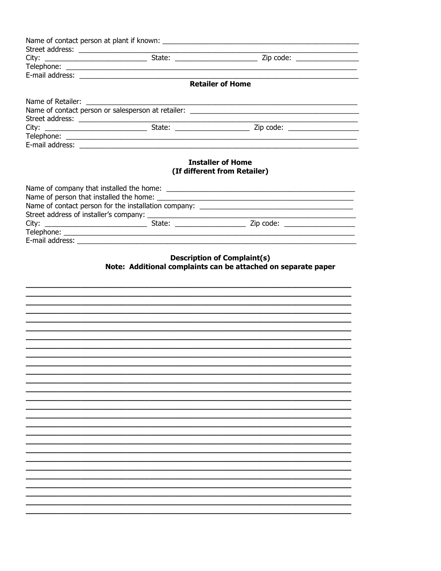|  | <b>Retailer of Home</b>                                                                             |
|--|-----------------------------------------------------------------------------------------------------|
|  |                                                                                                     |
|  |                                                                                                     |
|  |                                                                                                     |
|  |                                                                                                     |
|  |                                                                                                     |
|  |                                                                                                     |
|  |                                                                                                     |
|  |                                                                                                     |
|  |                                                                                                     |
|  |                                                                                                     |
|  |                                                                                                     |
|  | <b>Description of Complaint(s)</b><br>Note: Additional complaints can be attached on separate paper |
|  |                                                                                                     |
|  |                                                                                                     |